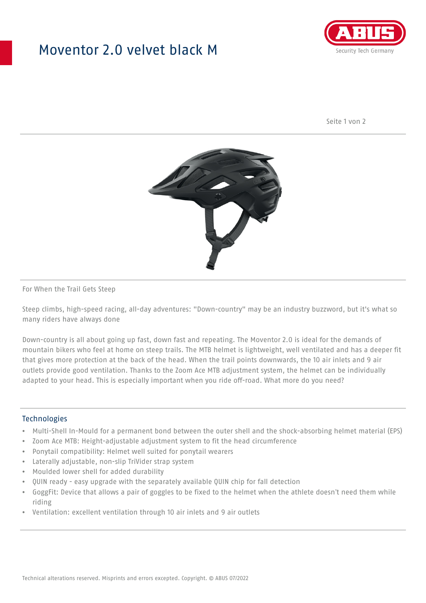## Moventor 2.0 velvet black M



Seite 1 von 2



#### For When the Trail Gets Steep

Steep climbs, high-speed racing, all-day adventures: "Down-country" may be an industry buzzword, but it's what so many riders have always done

Down-country is all about going up fast, down fast and repeating. The Moventor 2.0 is ideal for the demands of mountain bikers who feel at home on steep trails. The MTB helmet is lightweight, well ventilated and has a deeper fit that gives more protection at the back of the head. When the trail points downwards, the 10 air inlets and 9 air outlets provide good ventilation. Thanks to the Zoom Ace MTB adjustment system, the helmet can be individually adapted to your head. This is especially important when you ride off-road. What more do you need?

#### **Technologies**

- Multi-Shell In-Mould for a permanent bond between the outer shell and the shock-absorbing helmet material (EPS)
- Zoom Ace MTB: Height-adjustable adjustment system to fit the head circumference
- Ponytail compatibility: Helmet well suited for ponytail wearers
- Laterally adjustable, non-slip TriVider strap system
- Moulded lower shell for added durability
- QUIN ready easy upgrade with the separately available QUIN chip for fall detection
- GoggFit: Device that allows a pair of goggles to be fixed to the helmet when the athlete doesn't need them while riding
- Ventilation: excellent ventilation through 10 air inlets and 9 air outlets